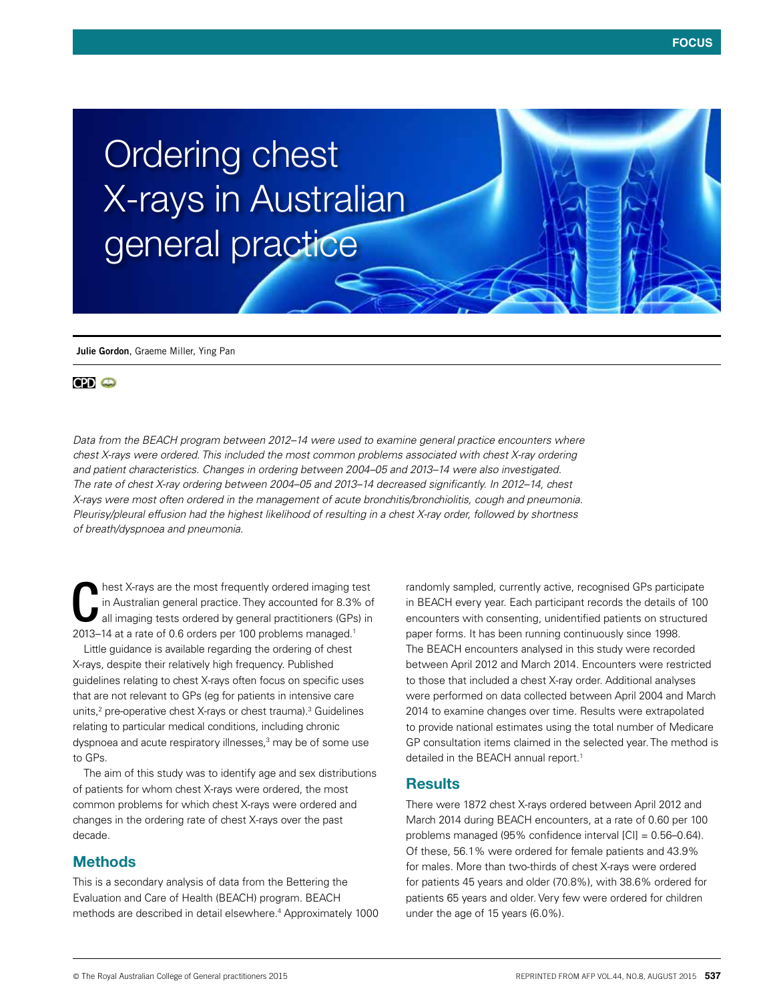# Ordering chest X-rays in Australian general practice

**Julie Gordon**, Graeme Miller, Ying Pan

## **CPI** O

*Data from the BEACH program between 2012–14 were used to examine general practice encounters where chest X-rays were ordered. This included the most common problems associated with chest X-ray ordering and patient characteristics. Changes in ordering between 2004–05 and 2013–14 were also investigated. The rate of chest X-ray ordering between 2004–05 and 2013–14 decreased significantly. In 2012–14, chest X-rays were most often ordered in the management of acute bronchitis/bronchiolitis, cough and pneumonia. Pleurisy/pleural effusion had the highest likelihood of resulting in a chest X-ray order, followed by shortness of breath/dyspnoea and pneumonia.* 

hest X-rays are the most frequently ordered imaging test in Australian general practice. They accounted for 8.3% of all imaging tests ordered by general practitioners (GPs) in 2013–14 at a rate of 0.6 orders per 100 problems managed.<sup>1</sup>

Little guidance is available regarding the ordering of chest X-rays, despite their relatively high frequency. Published guidelines relating to chest X-rays often focus on specific uses that are not relevant to GPs (eg for patients in intensive care units,2 pre-operative chest X-rays or chest trauma).3 Guidelines relating to particular medical conditions, including chronic dyspnoea and acute respiratory illnesses,<sup>3</sup> may be of some use to GPs.

The aim of this study was to identify age and sex distributions of patients for whom chest X-rays were ordered, the most common problems for which chest X-rays were ordered and changes in the ordering rate of chest X-rays over the past decade.

## **Methods**

This is a secondary analysis of data from the Bettering the Evaluation and Care of Health (BEACH) program. BEACH methods are described in detail elsewhere.4 Approximately 1000 randomly sampled, currently active, recognised GPs participate in BEACH every year. Each participant records the details of 100 encounters with consenting, unidentified patients on structured paper forms. It has been running continuously since 1998. The BEACH encounters analysed in this study were recorded between April 2012 and March 2014. Encounters were restricted to those that included a chest X-ray order. Additional analyses were performed on data collected between April 2004 and March 2014 to examine changes over time. Results were extrapolated to provide national estimates using the total number of Medicare GP consultation items claimed in the selected year. The method is detailed in the BEACH annual report.<sup>1</sup>

### **Results**

There were 1872 chest X-rays ordered between April 2012 and March 2014 during BEACH encounters, at a rate of 0.60 per 100 problems managed (95% confidence interval [CI] = 0.56–0.64). Of these, 56.1% were ordered for female patients and 43.9% for males. More than two-thirds of chest X-rays were ordered for patients 45 years and older (70.8%), with 38.6% ordered for patients 65 years and older. Very few were ordered for children under the age of 15 years (6.0%).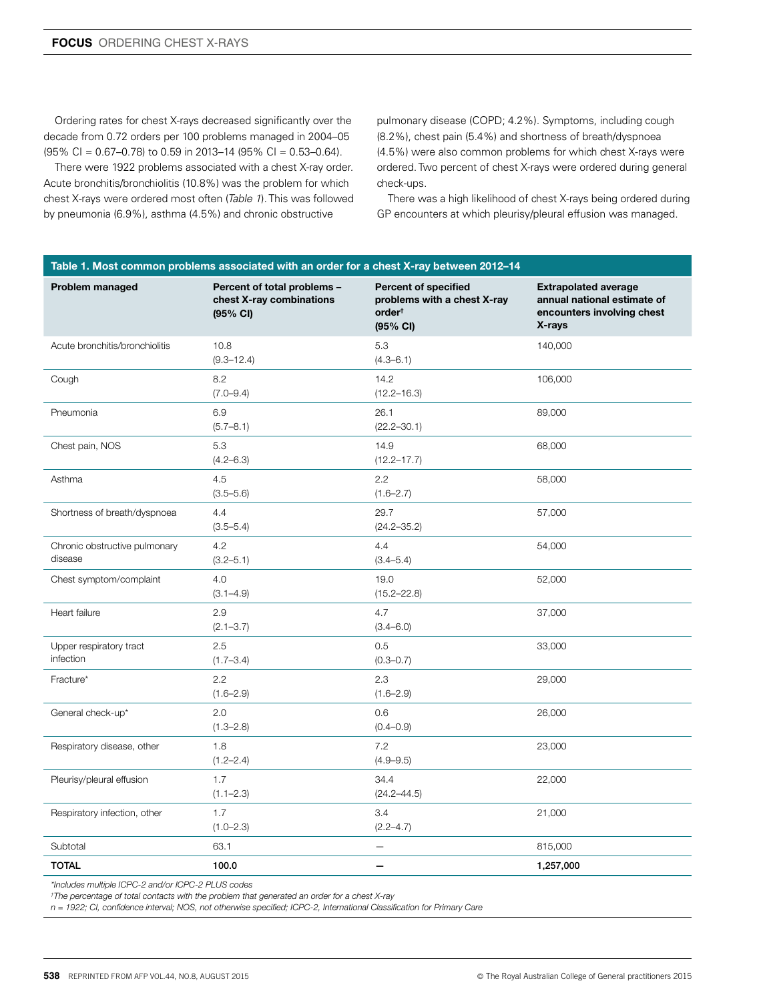Ordering rates for chest X-rays decreased significantly over the decade from 0.72 orders per 100 problems managed in 2004–05 (95% CI = 0.67–0.78) to 0.59 in 2013–14 (95% CI = 0.53–0.64).

There were 1922 problems associated with a chest X-ray order. Acute bronchitis/bronchiolitis (10.8%) was the problem for which chest X-rays were ordered most often (*Table 1*). This was followed by pneumonia (6.9%), asthma (4.5%) and chronic obstructive

pulmonary disease (COPD; 4.2%). Symptoms, including cough (8.2%), chest pain (5.4%) and shortness of breath/dyspnoea (4.5%) were also common problems for which chest X-rays were ordered. Two percent of chest X-rays were ordered during general check-ups.

There was a high likelihood of chest X-rays being ordered during GP encounters at which pleurisy/pleural effusion was managed.

| Table 1. Most common problems associated with an order for a chest X-ray between 2012-14 |                                                                               |                                                                                              |                                                                                                    |
|------------------------------------------------------------------------------------------|-------------------------------------------------------------------------------|----------------------------------------------------------------------------------------------|----------------------------------------------------------------------------------------------------|
| Problem managed                                                                          | Percent of total problems -<br>chest X-ray combinations<br>$(95% \text{ Cl})$ | <b>Percent of specified</b><br>problems with a chest X-ray<br>order <sup>†</sup><br>(95% CI) | <b>Extrapolated average</b><br>annual national estimate of<br>encounters involving chest<br>X-rays |
| Acute bronchitis/bronchiolitis                                                           | 10.8<br>$(9.3 - 12.4)$                                                        | 5.3<br>$(4.3 - 6.1)$                                                                         | 140,000                                                                                            |
| Cough                                                                                    | 8.2<br>$(7.0 - 9.4)$                                                          | 14.2<br>$(12.2 - 16.3)$                                                                      | 106,000                                                                                            |
| Pneumonia                                                                                | 6.9<br>$(5.7 - 8.1)$                                                          | 26.1<br>$(22.2 - 30.1)$                                                                      | 89,000                                                                                             |
| Chest pain, NOS                                                                          | 5.3<br>$(4.2 - 6.3)$                                                          | 14.9<br>$(12.2 - 17.7)$                                                                      | 68,000                                                                                             |
| Asthma                                                                                   | 4.5<br>$(3.5 - 5.6)$                                                          | 2.2<br>$(1.6 - 2.7)$                                                                         | 58,000                                                                                             |
| Shortness of breath/dyspnoea                                                             | 4.4<br>$(3.5 - 5.4)$                                                          | 29.7<br>$(24.2 - 35.2)$                                                                      | 57,000                                                                                             |
| Chronic obstructive pulmonary<br>disease                                                 | 4.2<br>$(3.2 - 5.1)$                                                          | 4.4<br>$(3.4 - 5.4)$                                                                         | 54,000                                                                                             |
| Chest symptom/complaint                                                                  | 4.0<br>$(3.1 - 4.9)$                                                          | 19.0<br>$(15.2 - 22.8)$                                                                      | 52,000                                                                                             |
| Heart failure                                                                            | 2.9<br>$(2.1 - 3.7)$                                                          | 4.7<br>$(3.4 - 6.0)$                                                                         | 37,000                                                                                             |
| Upper respiratory tract<br>infection                                                     | 2.5<br>$(1.7 - 3.4)$                                                          | 0.5<br>$(0.3 - 0.7)$                                                                         | 33,000                                                                                             |
| Fracture*                                                                                | 2.2<br>$(1.6 - 2.9)$                                                          | 2.3<br>$(1.6 - 2.9)$                                                                         | 29,000                                                                                             |
| General check-up*                                                                        | 2.0<br>$(1.3 - 2.8)$                                                          | 0.6<br>$(0.4 - 0.9)$                                                                         | 26,000                                                                                             |
| Respiratory disease, other                                                               | 1.8<br>$(1.2 - 2.4)$                                                          | 7.2<br>$(4.9 - 9.5)$                                                                         | 23,000                                                                                             |
| Pleurisy/pleural effusion                                                                | 1.7<br>$(1.1 - 2.3)$                                                          | 34.4<br>$(24.2 - 44.5)$                                                                      | 22,000                                                                                             |
| Respiratory infection, other                                                             | 1.7<br>$(1.0 - 2.3)$                                                          | 3.4<br>$(2.2 - 4.7)$                                                                         | 21,000                                                                                             |
| Subtotal                                                                                 | 63.1                                                                          |                                                                                              | 815,000                                                                                            |
| <b>TOTAL</b>                                                                             | 100.0                                                                         |                                                                                              | 1,257,000                                                                                          |

*\*Includes multiple ICPC-2 and/or ICPC-2 PLUS codes*

*† The percentage of total contacts with the problem that generated an order for a chest X-ray*

*n = 1922; CI, confidence interval; NOS, not otherwise specified; ICPC-2, International Classification for Primary Care*